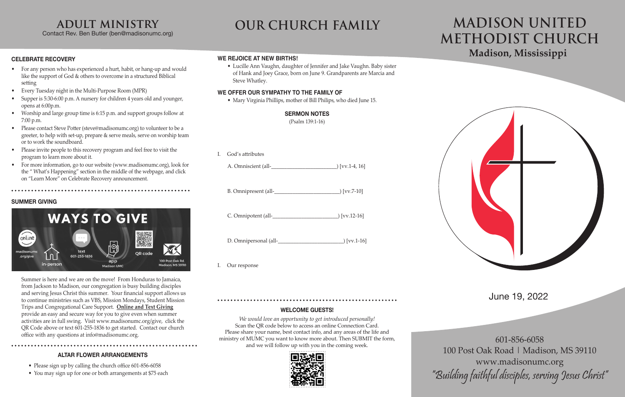### **CELEBRATE RECOVERY**

- For any person who has experienced a hurt, habit, or hang-up and would like the support of God & others to overcome in a structured Biblical setting
- Every Tuesday night in the Multi-Purpose Room (MPR)
- Supper is 5:30-6:00 p.m. A nursery for children 4 years old and younger, opens at 6:00p.m.
- Worship and large group time is 6:15 p.m. and support groups follow at 7:00 p.m.
- Please contact Steve Potter (steve@madisonumc.org) to volunteer to be a greeter, to help with set-up, prepare & serve meals, serve on worship team or to work the soundboard.
- Please invite people to this recovery program and feel free to visit the program to learn more about it.
- For more information, go to our website (www.madisonumc.org), look for the " What's Happening" section in the middle of the webpage, and click on "Learn More" on Celebrate Recovery announcement.

### **SUMMER GIVING**



office with any questions at info@madisonumc.org.<br>
ministry of MUMC you want to know more about. Then SUBMIT the form, 601-856-6058 *We would love an opportunity to get introduced personally!* Scan the OR code below to access an online Connection Card. Please share your name, best contact info, and any areas of the life and and we will follow up with you in the coming week.







Summer is here and we are on the move! From Honduras to Jamaica, from Jackson to Madison, our congregation is busy building disciples and serving Jesus Christ this summer. Your financial support allows us to continue ministries such as VBS, Mission Mondays, Student Mission Trips and Congregational Care Support. **Online and Text Giving** provide an easy and secure way for you to give even when summer activities are in full swing. Visit www.madisonumc.org/give, click the QR Code above or text 601-255-1836 to get started. Contact our church

- B. Omnipresent (all-<br> $|VVZ-10\rangle$
- C. Omnipotent (all-\_\_\_\_\_\_\_\_\_\_\_\_\_\_\_\_\_\_\_\_\_\_\_\_\_) [vv.12-16]
- D. Omnipersonal (all-\_\_\_\_\_\_\_\_\_\_\_\_\_\_\_\_\_\_\_\_\_\_\_\_\_) [vv.1-16]
- I. Our response

100 Post Oak Road | Madison, MS 39110 www.madisonumc.org "Building faithful disciples, serving Jesus Christ"

## June 19, 2022

# **Madison, Mississippi MADISON UNITED METHODIST CHURCH**

# **adult ministry**

Contact Rev. Ben Butler (ben@madisonumc.org)

# **OUR CHURCH FAMILY**

### **WELCOME GUESTS!**

### **WE REJOICE AT NEW BIRTHS!**

• Lucille Ann Vaughn, daughter of Jennifer and Jake Vaughn. Baby sister of Hank and Joey Grace, born on June 9. Grandparents are Marcia and Steve Whatley.

### **WE OFFER OUR SYMPATHY TO THE FAMILY OF**

• Mary Virginia Phillips, mother of Bill Philips, who died June 15.

### **SERMON NOTES**

(Psalm 139:1-16)

I. God's attributes

| A. Omniscient (all- |  | ) [vv.1-4, 16] |
|---------------------|--|----------------|
|                     |  |                |

### **ALTAR FLOWER ARRANGEMENTS**

- Please sign up by calling the church office 601-856-6058
- You may sign up for one or both arrangements at \$75 each